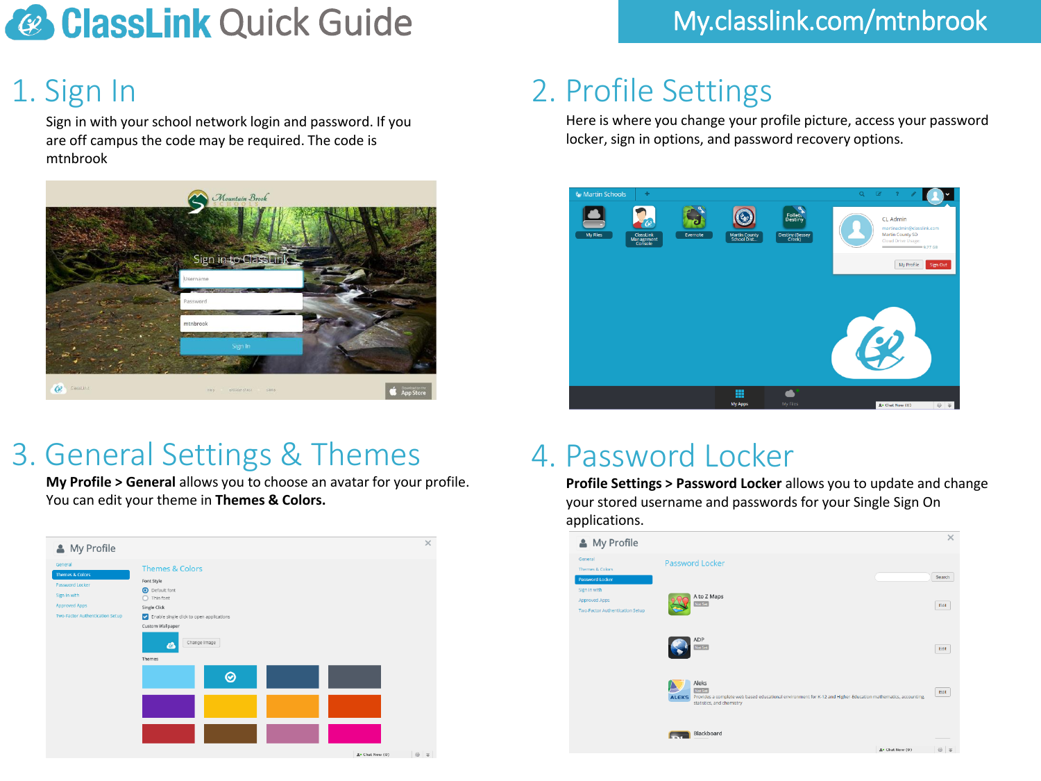# **Quick Guide** My.classlink.com/mtnbrook

## 1. Sign In

Sign in with your school network login and password. If you are off campus the code may be required. The code is mtnbrook



### 3. General Settings & Themes 4. Password Locker

**My Profile > General** allows you to choose an avatar for your profile. You can edit your theme in **Themes & Colors.**

| <b>Themes &amp; Colors</b><br>Font Style<br>Password Locker<br><b>O</b> Default font<br>Sign in with<br>$\bigcirc$ Thin font<br><b>Approved Apps</b><br>Single Click<br>Two-Factor Authentication Setup<br>Inable single click to open applications<br>Custom Wallpaper<br>Change Image<br>$\boldsymbol{c}$<br>Themes<br>$\odot$ | My Profile                            |  | $\times$ |
|----------------------------------------------------------------------------------------------------------------------------------------------------------------------------------------------------------------------------------------------------------------------------------------------------------------------------------|---------------------------------------|--|----------|
|                                                                                                                                                                                                                                                                                                                                  | General<br><b>Themes &amp; Colors</b> |  |          |
|                                                                                                                                                                                                                                                                                                                                  |                                       |  |          |
|                                                                                                                                                                                                                                                                                                                                  |                                       |  |          |
|                                                                                                                                                                                                                                                                                                                                  |                                       |  |          |
|                                                                                                                                                                                                                                                                                                                                  |                                       |  |          |
|                                                                                                                                                                                                                                                                                                                                  |                                       |  |          |
|                                                                                                                                                                                                                                                                                                                                  |                                       |  |          |

## 2. Profile Settings

Here is where you change your profile picture, access your password locker, sign in options, and password recovery options.



**Profile Settings > Password Locker** allows you to update and change your stored username and passwords for your Single Sign On applications.

| My Profile                                                              |                                                                                                                                                                               | $\times$                 |
|-------------------------------------------------------------------------|-------------------------------------------------------------------------------------------------------------------------------------------------------------------------------|--------------------------|
| General<br>Themes & Colors<br>Password Locker                           | Password Locker                                                                                                                                                               | Search                   |
| Sign in with<br><b>Approved Apps</b><br>Two-Factor Authentication Setup | A to Z Maps<br>Not Set                                                                                                                                                        | Edit                     |
|                                                                         | ADP<br>Not Set                                                                                                                                                                | Edit                     |
|                                                                         | Aleks<br>Not Set<br>Provides a complete web based educational environment for K-12 and Higher-Education mathematics, accounting,<br><b>ALEKS</b><br>statistics, and chemistry | Edit                     |
|                                                                         | Blackboard<br><b>COLLECTION</b>                                                                                                                                               | <b>The Common Street</b> |